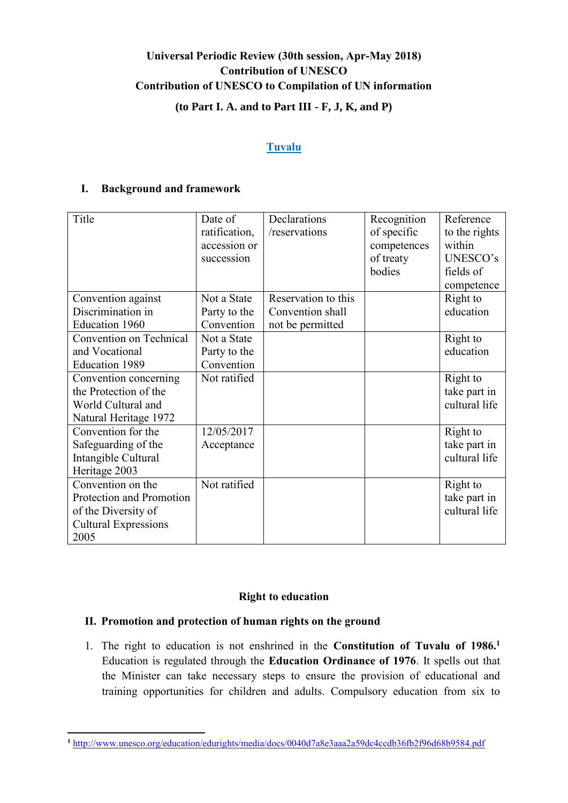# **Universal Periodic Review (30th session, Apr-May 2018) Contribution of UNESCO Contribution of UNESCO to Compilation of UN information (to Part I. A. and to Part III - F, J, K, and P)**

## **Tuvalu**

## **I. Background and framework**

| Title                       | Date of       | Declarations        | Recognition | Reference     |
|-----------------------------|---------------|---------------------|-------------|---------------|
|                             | ratification, | /reservations       | of specific | to the rights |
|                             | accession or  |                     | competences | within        |
|                             | succession    |                     | of treaty   | UNESCO's      |
|                             |               |                     | bodies      | fields of     |
|                             |               |                     |             | competence    |
| Convention against          | Not a State   | Reservation to this |             | Right to      |
| Discrimination in           | Party to the  | Convention shall    |             | education     |
| Education 1960              | Convention    | not be permitted    |             |               |
| Convention on Technical     | Not a State   |                     |             | Right to      |
| and Vocational              | Party to the  |                     |             | education     |
| <b>Education 1989</b>       | Convention    |                     |             |               |
| Convention concerning       | Not ratified  |                     |             | Right to      |
| the Protection of the       |               |                     |             | take part in  |
| World Cultural and          |               |                     |             | cultural life |
| Natural Heritage 1972       |               |                     |             |               |
| Convention for the          | 12/05/2017    |                     |             | Right to      |
| Safeguarding of the         | Acceptance    |                     |             | take part in  |
| Intangible Cultural         |               |                     |             | cultural life |
| Heritage 2003               |               |                     |             |               |
| Convention on the           | Not ratified  |                     |             | Right to      |
| Protection and Promotion    |               |                     |             | take part in  |
| of the Diversity of         |               |                     |             | cultural life |
| <b>Cultural Expressions</b> |               |                     |             |               |
| 2005                        |               |                     |             |               |

### **Right to education**

# **II. Promotion and protection of human rights on the ground**

**.** 

1. The right to education is not enshrined in the **Constitution of Tuvalu of 1986.<sup>1</sup>** Education is regulated through the **Education Ordinance of 1976**. It spells out that the Minister can take necessary steps to ensure the provision of educational and training opportunities for children and adults. Compulsory education from six to

**<sup>1</sup>** <http://www.unesco.org/education/edurights/media/docs/0040d7a8e3aaa2a59dc4ccdb36fb2f96d68b9584.pdf>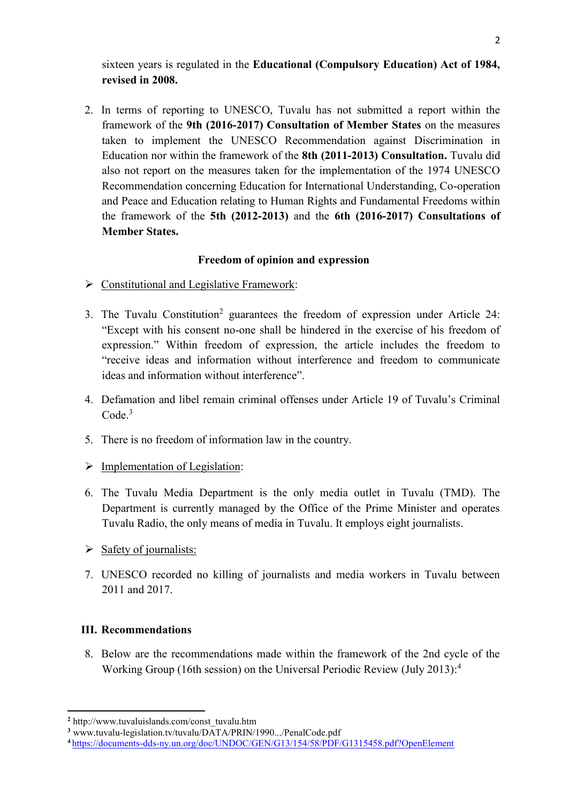sixteen years is regulated in the **Educational (Compulsory Education) Act of 1984, revised in 2008.**

2. In terms of reporting to UNESCO, Tuvalu has not submitted a report within the framework of the **9th (2016-2017) Consultation of Member States** on the measures taken to implement the UNESCO Recommendation against Discrimination in Education nor within the framework of the **8th (2011-2013) Consultation.** Tuvalu did also not report on the measures taken for the implementation of the 1974 UNESCO Recommendation concerning Education for International Understanding, Co-operation and Peace and Education relating to Human Rights and Fundamental Freedoms within the framework of the **5th (2012-2013)** and the **6th (2016-2017) Consultations of Member States.**

# **Freedom of opinion and expression**

- $\triangleright$  Constitutional and Legislative Framework:
- 3. The Tuvalu Constitution<sup>2</sup> guarantees the freedom of expression under Article 24: "Except with his consent no-one shall be hindered in the exercise of his freedom of expression." Within freedom of expression, the article includes the freedom to "receive ideas and information without interference and freedom to communicate ideas and information without interference".
- 4. Defamation and libel remain criminal offenses under Article 19 of Tuvalu's Criminal Code. 3
- 5. There is no freedom of information law in the country.
- $\triangleright$  Implementation of Legislation:
- 6. The Tuvalu Media Department is the only media outlet in Tuvalu (TMD). The Department is currently managed by the Office of the Prime Minister and operates Tuvalu Radio, the only means of media in Tuvalu. It employs eight journalists.
- $\triangleright$  Safety of journalists:
- 7. UNESCO recorded no killing of journalists and media workers in Tuvalu between 2011 and 2017.

### **III. Recommendations**

 $\overline{a}$ 

8. Below are the recommendations made within the framework of the 2nd cycle of the Working Group (16th session) on the Universal Periodic Review (July 2013): 4

**<sup>2</sup>** http://www.tuvaluislands.com/const\_tuvalu.htm

**<sup>3</sup>** www.tuvalu-legislation.tv/tuvalu/DATA/PRIN/1990.../PenalCode.pdf

**<sup>4</sup>** <https://documents-dds-ny.un.org/doc/UNDOC/GEN/G13/154/58/PDF/G1315458.pdf?OpenElement>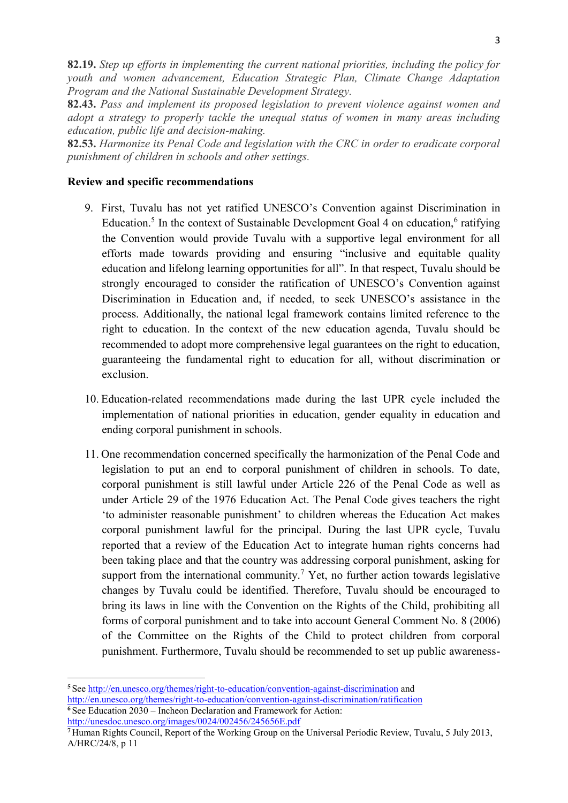**82.19.** *Step up efforts in implementing the current national priorities, including the policy for youth and women advancement, Education Strategic Plan, Climate Change Adaptation Program and the National Sustainable Development Strategy.*

**82.43.** *Pass and implement its proposed legislation to prevent violence against women and adopt a strategy to properly tackle the unequal status of women in many areas including education, public life and decision-making.*

**82.53.** *Harmonize its Penal Code and legislation with the CRC in order to eradicate corporal punishment of children in schools and other settings.*

#### **Review and specific recommendations**

- 9. First, Tuvalu has not yet ratified UNESCO's Convention against Discrimination in Education.<sup>5</sup> In the context of Sustainable Development Goal 4 on education,  $6$  ratifying the Convention would provide Tuvalu with a supportive legal environment for all efforts made towards providing and ensuring "inclusive and equitable quality education and lifelong learning opportunities for all". In that respect, Tuvalu should be strongly encouraged to consider the ratification of UNESCO's Convention against Discrimination in Education and, if needed, to seek UNESCO's assistance in the process. Additionally, the national legal framework contains limited reference to the right to education. In the context of the new education agenda, Tuvalu should be recommended to adopt more comprehensive legal guarantees on the right to education, guaranteeing the fundamental right to education for all, without discrimination or exclusion.
- 10. Education-related recommendations made during the last UPR cycle included the implementation of national priorities in education, gender equality in education and ending corporal punishment in schools.
- 11. One recommendation concerned specifically the harmonization of the Penal Code and legislation to put an end to corporal punishment of children in schools. To date, corporal punishment is still lawful under Article 226 of the Penal Code as well as under Article 29 of the 1976 Education Act. The Penal Code gives teachers the right 'to administer reasonable punishment' to children whereas the Education Act makes corporal punishment lawful for the principal. During the last UPR cycle, Tuvalu reported that a review of the Education Act to integrate human rights concerns had been taking place and that the country was addressing corporal punishment, asking for support from the international community.<sup>7</sup> Yet, no further action towards legislative changes by Tuvalu could be identified. Therefore, Tuvalu should be encouraged to bring its laws in line with the Convention on the Rights of the Child, prohibiting all forms of corporal punishment and to take into account General Comment No. 8 (2006) of the Committee on the Rights of the Child to protect children from corporal punishment. Furthermore, Tuvalu should be recommended to set up public awareness-

<http://unesdoc.unesco.org/images/0024/002456/245656E.pdf>

1

**<sup>5</sup>** See<http://en.unesco.org/themes/right-to-education/convention-against-discrimination> and <http://en.unesco.org/themes/right-to-education/convention-against-discrimination/ratification> **<sup>6</sup>** See Education 2030 – Incheon Declaration and Framework for Action:

**<sup>7</sup>** Human Rights Council, Report of the Working Group on the Universal Periodic Review, Tuvalu, 5 July 2013, A/HRC/24/8, p 11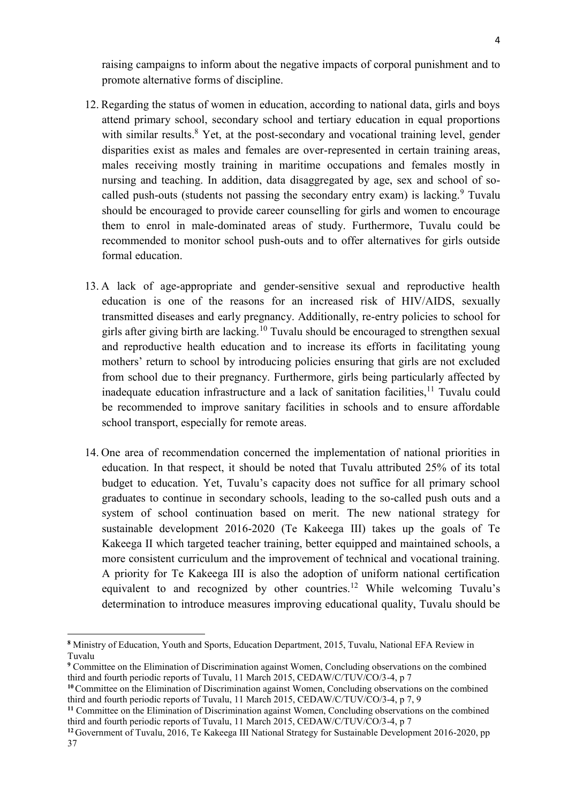raising campaigns to inform about the negative impacts of corporal punishment and to promote alternative forms of discipline.

- 12. Regarding the status of women in education, according to national data, girls and boys attend primary school, secondary school and tertiary education in equal proportions with similar results.<sup>8</sup> Yet, at the post-secondary and vocational training level, gender disparities exist as males and females are over-represented in certain training areas, males receiving mostly training in maritime occupations and females mostly in nursing and teaching. In addition, data disaggregated by age, sex and school of socalled push-outs (students not passing the secondary entry exam) is lacking. Tuvalu should be encouraged to provide career counselling for girls and women to encourage them to enrol in male-dominated areas of study. Furthermore, Tuvalu could be recommended to monitor school push-outs and to offer alternatives for girls outside formal education.
- 13. A lack of age-appropriate and gender-sensitive sexual and reproductive health education is one of the reasons for an increased risk of HIV/AIDS, sexually transmitted diseases and early pregnancy. Additionally, re-entry policies to school for girls after giving birth are lacking.<sup>10</sup> Tuvalu should be encouraged to strengthen sexual and reproductive health education and to increase its efforts in facilitating young mothers' return to school by introducing policies ensuring that girls are not excluded from school due to their pregnancy. Furthermore, girls being particularly affected by inadequate education infrastructure and a lack of sanitation facilities.<sup>11</sup> Tuvalu could be recommended to improve sanitary facilities in schools and to ensure affordable school transport, especially for remote areas.
- 14. One area of recommendation concerned the implementation of national priorities in education. In that respect, it should be noted that Tuvalu attributed 25% of its total budget to education. Yet, Tuvalu's capacity does not suffice for all primary school graduates to continue in secondary schools, leading to the so-called push outs and a system of school continuation based on merit. The new national strategy for sustainable development 2016-2020 (Te Kakeega III) takes up the goals of Te Kakeega II which targeted teacher training, better equipped and maintained schools, a more consistent curriculum and the improvement of technical and vocational training. A priority for Te Kakeega III is also the adoption of uniform national certification equivalent to and recognized by other countries.<sup>12</sup> While welcoming Tuvalu's determination to introduce measures improving educational quality, Tuvalu should be

**.** 

**<sup>8</sup>** Ministry of Education, Youth and Sports, Education Department, 2015, Tuvalu, National EFA Review in Tuvalu

**<sup>9</sup>** Committee on the Elimination of Discrimination against Women, Concluding observations on the combined third and fourth periodic reports of Tuvalu, 11 March 2015, CEDAW/C/TUV/CO/3-4, p 7

<sup>&</sup>lt;sup>10</sup> Committee on the Elimination of Discrimination against Women, Concluding observations on the combined third and fourth periodic reports of Tuvalu, 11 March 2015, CEDAW/C/TUV/CO/3-4, p 7, 9

**<sup>11</sup>** Committee on the Elimination of Discrimination against Women, Concluding observations on the combined third and fourth periodic reports of Tuvalu, 11 March 2015, CEDAW/C/TUV/CO/3-4, p 7

**<sup>12</sup>** Government of Tuvalu, 2016, Te Kakeega III National Strategy for Sustainable Development 2016-2020, pp 37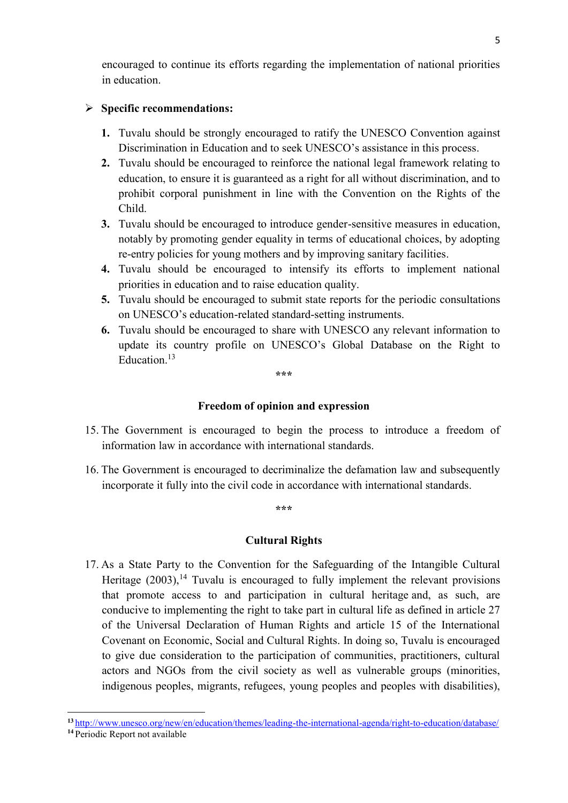encouraged to continue its efforts regarding the implementation of national priorities in education.

### **Specific recommendations:**

- **1.** Tuvalu should be strongly encouraged to ratify the UNESCO Convention against Discrimination in Education and to seek UNESCO's assistance in this process.
- **2.** Tuvalu should be encouraged to reinforce the national legal framework relating to education, to ensure it is guaranteed as a right for all without discrimination, and to prohibit corporal punishment in line with the Convention on the Rights of the Child.
- **3.** Tuvalu should be encouraged to introduce gender-sensitive measures in education, notably by promoting gender equality in terms of educational choices, by adopting re-entry policies for young mothers and by improving sanitary facilities.
- **4.** Tuvalu should be encouraged to intensify its efforts to implement national priorities in education and to raise education quality.
- **5.** Tuvalu should be encouraged to submit state reports for the periodic consultations on UNESCO's education-related standard-setting instruments.
- **6.** Tuvalu should be encouraged to share with UNESCO any relevant information to update its country profile on UNESCO's Global Database on the Right to Education. 13

**\*\*\***

#### **Freedom of opinion and expression**

- 15. The Government is encouraged to begin the process to introduce a freedom of information law in accordance with international standards.
- 16. The Government is encouraged to decriminalize the defamation law and subsequently incorporate it fully into the civil code in accordance with international standards.

**\*\*\***

#### **Cultural Rights**

17. As a State Party to the Convention for the Safeguarding of the Intangible Cultural Heritage  $(2003)$ ,<sup>14</sup> Tuvalu is encouraged to fully implement the relevant provisions that promote access to and participation in cultural heritage and, as such, are conducive to implementing the right to take part in cultural life as defined in article 27 of the Universal Declaration of Human Rights and article 15 of the International Covenant on Economic, Social and Cultural Rights. In doing so, Tuvalu is encouraged to give due consideration to the participation of communities, practitioners, cultural actors and NGOs from the civil society as well as vulnerable groups (minorities, indigenous peoples, migrants, refugees, young peoples and peoples with disabilities),

1

**<sup>13</sup>** <http://www.unesco.org/new/en/education/themes/leading-the-international-agenda/right-to-education/database/>

**<sup>14</sup>** Periodic Report not available